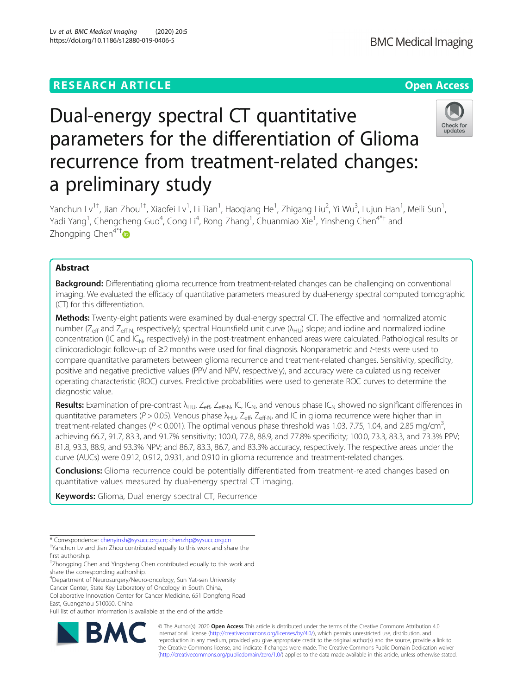# Check for undate

# Dual-energy spectral CT quantitative parameters for the differentiation of Glioma recurrence from treatment-related changes: a preliminary study

Yanchun Lv<sup>1†</sup>, Jian Zhou<sup>1†</sup>, Xiaofei Lv<sup>1</sup>, Li Tian<sup>1</sup>, Haoqiang He<sup>1</sup>, Zhigang Liu<sup>2</sup>, Yi Wu<sup>3</sup>, Lujun Han<sup>1</sup>, Meili Sun<sup>1</sup> , Yadi Yang<sup>1</sup>, Chengcheng Guo<sup>4</sup>, Cong Li<sup>4</sup>, Rong Zhang<sup>1</sup>, Chuanmiao Xie<sup>1</sup>, Yinsheng Chen<sup>4\*†</sup> and Zhongping Chen<sup>4\*[†](http://orcid.org/0000-0002-6868-9866)</sup>

# Abstract

**Background:** Differentiating glioma recurrence from treatment-related changes can be challenging on conventional imaging. We evaluated the efficacy of quantitative parameters measured by dual-energy spectral computed tomographic (CT) for this differentiation.

Methods: Twenty-eight patients were examined by dual-energy spectral CT. The effective and normalized atomic number ( $Z_{\text{eff}}$  and  $Z_{\text{eff-N}}$ , respectively); spectral Hounsfield unit curve ( $\lambda_{\text{HU}}$ ) slope; and iodine and normalized iodine concentration (IC and IC<sub>N</sub>, respectively) in the post-treatment enhanced areas were calculated. Pathological results or clinicoradiologic follow-up of ≥2 months were used for final diagnosis. Nonparametric and t-tests were used to compare quantitative parameters between glioma recurrence and treatment-related changes. Sensitivity, specificity, positive and negative predictive values (PPV and NPV, respectively), and accuracy were calculated using receiver operating characteristic (ROC) curves. Predictive probabilities were used to generate ROC curves to determine the diagnostic value.

**Results:** Examination of pre-contrast  $\lambda_{HUL}$ ,  $Z_{eff}$ ,  $Z_{eff}$ ,  $N$ ,  $IC$ ,  $IC_{N}$ , and venous phase  $IC_{N}$  showed no significant differences in quantitative parameters ( $P > 0.05$ ). Venous phase  $\lambda_{H-U}$ , Z<sub>eff</sub>, Z<sub>eff</sub>, and IC in glioma recurrence were higher than in treatment-related changes ( $P < 0.001$ ). The optimal venous phase threshold was 1.03, 7.75, 1.04, and 2.85 mg/cm<sup>3</sup>, , achieving 66.7, 91.7, 83.3, and 91.7% sensitivity; 100.0, 77.8, 88.9, and 77.8% specificity; 100.0, 73.3, 83.3, and 73.3% PPV; 81.8, 93.3, 88.9, and 93.3% NPV; and 86.7, 83.3, 86.7, and 83.3% accuracy, respectively. The respective areas under the curve (AUCs) were 0.912, 0.912, 0.931, and 0.910 in glioma recurrence and treatment-related changes.

Conclusions: Glioma recurrence could be potentially differentiated from treatment-related changes based on quantitative values measured by dual-energy spectral CT imaging.

Keywords: Glioma, Dual energy spectral CT, Recurrence

4 Department of Neurosurgery/Neuro-oncology, Sun Yat-sen University Cancer Center, State Key Laboratory of Oncology in South China, Collaborative Innovation Center for Cancer Medicine, 651 Dongfeng Road East, Guangzhou 510060, China

Full list of author information is available at the end of the article



© The Author(s). 2020 **Open Access** This article is distributed under the terms of the Creative Commons Attribution 4.0 International License [\(http://creativecommons.org/licenses/by/4.0/](http://creativecommons.org/licenses/by/4.0/)), which permits unrestricted use, distribution, and reproduction in any medium, provided you give appropriate credit to the original author(s) and the source, provide a link to the Creative Commons license, and indicate if changes were made. The Creative Commons Public Domain Dedication waiver [\(http://creativecommons.org/publicdomain/zero/1.0/](http://creativecommons.org/publicdomain/zero/1.0/)) applies to the data made available in this article, unless otherwise stated.

<sup>\*</sup> Correspondence: [chenyinsh@sysucc.org.cn;](mailto:chenyinsh@sysucc.org.cn) [chenzhp@sysucc.org.cn](mailto:chenzhp@sysucc.org.cn) † Yanchun Lv and Jian Zhou contributed equally to this work and share the

first authorship. † Zhongping Chen and Yingsheng Chen contributed equally to this work and

share the corresponding authorship.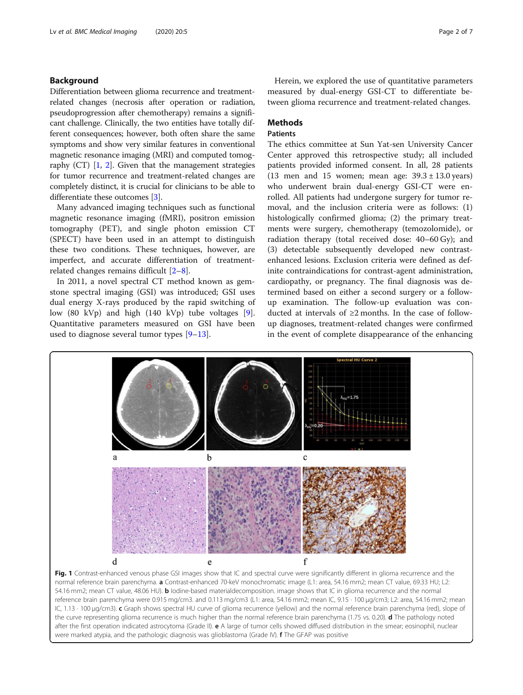# <span id="page-1-0"></span>Background

Differentiation between glioma recurrence and treatmentrelated changes (necrosis after operation or radiation, pseudoprogression after chemotherapy) remains a significant challenge. Clinically, the two entities have totally different consequences; however, both often share the same symptoms and show very similar features in conventional magnetic resonance imaging (MRI) and computed tomography  $(CT)$   $[1, 2]$  $[1, 2]$  $[1, 2]$ . Given that the management strategies for tumor recurrence and treatment-related changes are completely distinct, it is crucial for clinicians to be able to differentiate these outcomes [\[3\]](#page-6-0).

Many advanced imaging techniques such as functional magnetic resonance imaging (fMRI), positron emission tomography (PET), and single photon emission CT (SPECT) have been used in an attempt to distinguish these two conditions. These techniques, however, are imperfect, and accurate differentiation of treatmentrelated changes remains difficult [[2](#page-6-0)–[8\]](#page-6-0).

In 2011, a novel spectral CT method known as gemstone spectral imaging (GSI) was introduced; GSI uses dual energy X-rays produced by the rapid switching of low (80 kVp) and high (140 kVp) tube voltages [\[9](#page-6-0)]. Quantitative parameters measured on GSI have been used to diagnose several tumor types [\[9](#page-6-0)–[13\]](#page-6-0).

Herein, we explored the use of quantitative parameters measured by dual-energy GSI-CT to differentiate between glioma recurrence and treatment-related changes.

# **Methods**

# Patients

The ethics committee at Sun Yat-sen University Cancer Center approved this retrospective study; all included patients provided informed consent. In all, 28 patients (13 men and 15 women; mean age:  $39.3 \pm 13.0$  years) who underwent brain dual-energy GSI-CT were enrolled. All patients had undergone surgery for tumor removal, and the inclusion criteria were as follows: (1) histologically confirmed glioma; (2) the primary treatments were surgery, chemotherapy (temozolomide), or radiation therapy (total received dose: 40–60 Gy); and (3) detectable subsequently developed new contrastenhanced lesions. Exclusion criteria were defined as definite contraindications for contrast-agent administration, cardiopathy, or pregnancy. The final diagnosis was determined based on either a second surgery or a followup examination. The follow-up evaluation was conducted at intervals of ≥2 months. In the case of followup diagnoses, treatment-related changes were confirmed in the event of complete disappearance of the enhancing

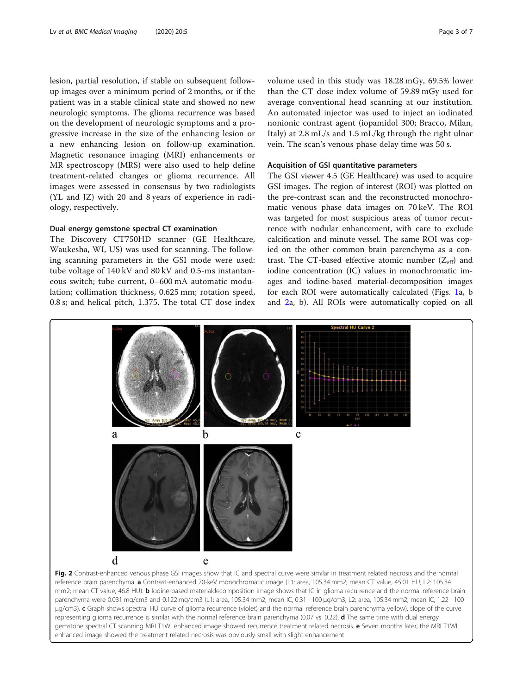<span id="page-2-0"></span>lesion, partial resolution, if stable on subsequent followup images over a minimum period of 2 months, or if the patient was in a stable clinical state and showed no new neurologic symptoms. The glioma recurrence was based on the development of neurologic symptoms and a progressive increase in the size of the enhancing lesion or a new enhancing lesion on follow-up examination. Magnetic resonance imaging (MRI) enhancements or MR spectroscopy (MRS) were also used to help define treatment-related changes or glioma recurrence. All images were assessed in consensus by two radiologists (YL and JZ) with 20 and 8 years of experience in radiology, respectively.

# Dual energy gemstone spectral CT examination

The Discovery CT750HD scanner (GE Healthcare, Waukesha, WI, US) was used for scanning. The following scanning parameters in the GSI mode were used: tube voltage of 140 kV and 80 kV and 0.5-ms instantaneous switch; tube current, 0–600 mA automatic modulation; collimation thickness, 0.625 mm; rotation speed, 0.8 s; and helical pitch, 1.375. The total CT dose index volume used in this study was 18.28 mGy, 69.5% lower than the CT dose index volume of 59.89 mGy used for average conventional head scanning at our institution. An automated injector was used to inject an iodinated nonionic contrast agent (iopamidol 300; Bracco, Milan, Italy) at 2.8 mL/s and 1.5 mL/kg through the right ulnar vein. The scan's venous phase delay time was 50 s.

# Acquisition of GSI quantitative parameters

The GSI viewer 4.5 (GE Healthcare) was used to acquire GSI images. The region of interest (ROI) was plotted on the pre-contrast scan and the reconstructed monochromatic venous phase data images on 70 keV. The ROI was targeted for most suspicious areas of tumor recurrence with nodular enhancement, with care to exclude calcification and minute vessel. The same ROI was copied on the other common brain parenchyma as a contrast. The CT-based effective atomic number  $(Z_{\text{eff}})$  and iodine concentration (IC) values in monochromatic images and iodine-based material-decomposition images for each ROI were automatically calculated (Figs. [1a](#page-1-0), b and 2a, b). All ROIs were automatically copied on all



μg/cm3). c Graph shows spectral HU curve of glioma recurrence (violet) and the normal reference brain parenchyma yellow), slope of the curve representing glioma recurrence is similar with the normal reference brain parenchyma (0.07 vs. 0.22). d The same time with dual energy gemstone spectral CT scanning MRI T1WI enhanced image showed recurrence treatment related necrosis. e Seven months later, the MRI T1WI enhanced image showed the treatment related necrosis was obviously small with slight enhancement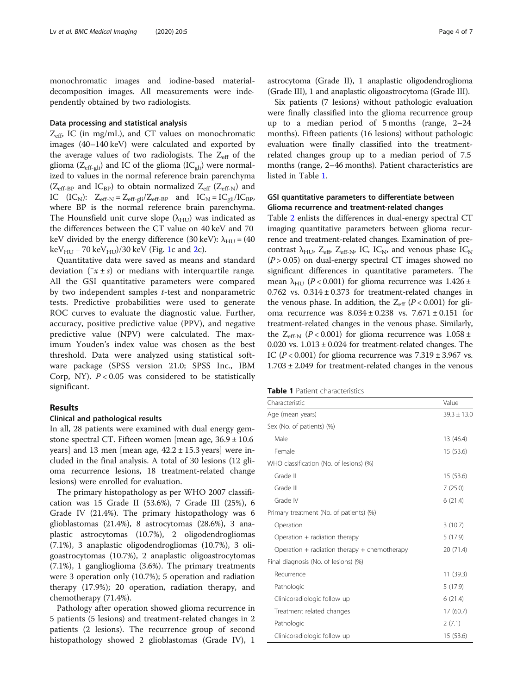monochromatic images and iodine-based materialdecomposition images. All measurements were independently obtained by two radiologists.

# Data processing and statistical analysis

 $Z_{\text{eff}}$  IC (in mg/mL), and CT values on monochromatic images (40–140 keV) were calculated and exported by the average values of two radiologists. The  $Z_{\text{eff}}$  of the glioma ( $Z_{\text{eff-gli}}$ ) and IC of the glioma (IC<sub>gli</sub>) were normalized to values in the normal reference brain parenchyma ( $Z_{\text{eff-BP}}$  and IC<sub>BP</sub>) to obtain normalized  $Z_{\text{eff}}$  ( $Z_{\text{eff-N}}$ ) and IC  $(IC_N)$ :  $Z_{\text{eff-N}} = Z_{\text{eff-gli}} / Z_{\text{eff-BP}}$  and  $IC_N = IC_{\text{gli}} / IC_{\text{BP}}$ , where BP is the normal reference brain parenchyma. The Hounsfield unit curve slope  $(\lambda_{\text{HU}})$  was indicated as the differences between the CT value on 40 keV and 70 keV divided by the energy difference (30 keV):  $\lambda_{HU} = (40$  $keV_{HII}$  – 70 keV<sub>HU</sub> $)/30$  keV (Fig. [1](#page-1-0)c and [2c](#page-2-0)).

Quantitative data were saved as means and standard deviation  $(\bar{x} \pm s)$  or medians with interquartile range. All the GSI quantitative parameters were compared by two independent samples  $t$ -test and nonparametric tests. Predictive probabilities were used to generate ROC curves to evaluate the diagnostic value. Further, accuracy, positive predictive value (PPV), and negative predictive value (NPV) were calculated. The maximum Youden's index value was chosen as the best threshold. Data were analyzed using statistical software package (SPSS version 21.0; SPSS Inc., IBM Corp, NY).  $P < 0.05$  was considered to be statistically significant.

# Results

# Clinical and pathological results

In all, 28 patients were examined with dual energy gemstone spectral CT. Fifteen women [mean age,  $36.9 \pm 10.6$ ] years] and 13 men [mean age,  $42.2 \pm 15.3$  years] were included in the final analysis. A total of 30 lesions (12 glioma recurrence lesions, 18 treatment-related change lesions) were enrolled for evaluation.

The primary histopathology as per WHO 2007 classification was 15 Grade II (53.6%), 7 Grade III (25%), 6 Grade IV (21.4%). The primary histopathology was 6 glioblastomas (21.4%), 8 astrocytomas (28.6%), 3 anaplastic astrocytomas (10.7%), 2 oligodendrogliomas (7.1%), 3 anaplastic oligodendrogliomas (10.7%), 3 oligoastrocytomas (10.7%), 2 anaplastic oligoastrocytomas (7.1%), 1 ganglioglioma (3.6%). The primary treatments were 3 operation only (10.7%); 5 operation and radiation therapy (17.9%); 20 operation, radiation therapy, and chemotherapy (71.4%).

Pathology after operation showed glioma recurrence in 5 patients (5 lesions) and treatment-related changes in 2 patients (2 lesions). The recurrence group of second histopathology showed 2 glioblastomas (Grade IV), 1

astrocytoma (Grade II), 1 anaplastic oligodendroglioma (Grade III), 1 and anaplastic oligoastrocytoma (Grade III).

Six patients (7 lesions) without pathologic evaluation were finally classified into the glioma recurrence group up to a median period of 5 months (range, 2–24 months). Fifteen patients (16 lesions) without pathologic evaluation were finally classified into the treatmentrelated changes group up to a median period of 7.5 months (range, 2–46 months). Patient characteristics are listed in Table 1.

# GSI quantitative parameters to differentiate between Glioma recurrence and treatment-related changes

Table [2](#page-4-0) enlists the differences in dual-energy spectral CT imaging quantitative parameters between glioma recurrence and treatment-related changes. Examination of precontrast  $\lambda_{\text{HU}}$ ,  $Z_{\text{eff}}$ ,  $Z_{\text{eff-N}}$ , IC, IC<sub>N</sub>, and venous phase IC<sub>N</sub>  $(P > 0.05)$  on dual-energy spectral CT images showed no significant differences in quantitative parameters. The mean  $\lambda_{\text{HII}}$  (P < 0.001) for glioma recurrence was 1.426 ± 0.762 vs.  $0.314 \pm 0.373$  for treatment-related changes in the venous phase. In addition, the  $Z_{eff}$  ( $P < 0.001$ ) for glioma recurrence was  $8.034 \pm 0.238$  vs.  $7.671 \pm 0.151$  for treatment-related changes in the venous phase. Similarly, the  $Z_{\text{eff-N}}$  (P < 0.001) for glioma recurrence was 1.058 ± 0.020 vs.  $1.013 \pm 0.024$  for treatment-related changes. The IC ( $P < 0.001$ ) for glioma recurrence was  $7.319 \pm 3.967$  vs.  $1.703 \pm 2.049$  for treatment-related changes in the venous

|  |  |  |  | <b>Table 1</b> Patient characteristics |
|--|--|--|--|----------------------------------------|
|--|--|--|--|----------------------------------------|

| Characteristic                               | Value           |  |
|----------------------------------------------|-----------------|--|
| Age (mean years)                             | $39.3 \pm 13.0$ |  |
| Sex (No. of patients) (%)                    |                 |  |
| Male                                         | 13 (46.4)       |  |
| Female                                       | 15 (53.6)       |  |
| WHO classification (No. of lesions) (%)      |                 |  |
| Grade II                                     | 15 (53.6)       |  |
| Grade III                                    | 7(25.0)         |  |
| Grade IV                                     | 6(21.4)         |  |
| Primary treatment (No. of patients) (%)      |                 |  |
| Operation                                    | 3(10.7)         |  |
| Operation + radiation therapy                | 5(17.9)         |  |
| Operation + radiation therapy + chemotherapy | 20 (71.4)       |  |
| Final diagnosis (No. of lesions) (%)         |                 |  |
| Recurrence                                   | 11(39.3)        |  |
| Pathologic                                   | 5(17.9)         |  |
| Clinicoradiologic follow up                  | 6(21.4)         |  |
| Treatment related changes                    | 17(60.7)        |  |
| Pathologic                                   | 2(7.1)          |  |
| Clinicoradiologic follow up                  | 15 (53.6)       |  |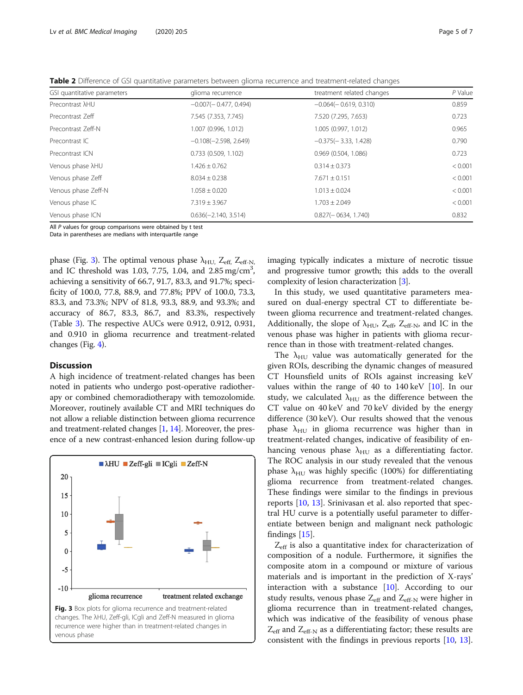<span id="page-4-0"></span>Table 2 Difference of GSI quantitative parameters between glioma recurrence and treatment-related changes

| GSI quantitative parameters | glioma recurrence       | treatment related changes | P Value |  |
|-----------------------------|-------------------------|---------------------------|---------|--|
| Precontrast $\lambda$ HU    | $-0.007(-0.477, 0.494)$ | $-0.064(-0.619, 0.310)$   | 0.859   |  |
| Precontrast Zeff            | 7.545 (7.353, 7.745)    | 7.520 (7.295, 7.653)      | 0.723   |  |
| Precontrast Zeff-N          | 1.007 (0.996, 1.012)    | 1.005 (0.997, 1.012)      | 0.965   |  |
| Precontrast IC              | $-0.108(-2.598, 2.649)$ | $-0.375(-3.33, 1.428)$    | 0.790   |  |
| Precontrast ICN             | $0.733$ (0.509, 1.102)  | $0.969$ (0.504, 1.086)    | 0.723   |  |
| Venous phase $\lambda$ HU   | $1.426 \pm 0.762$       | $0.314 \pm 0.373$         | < 0.001 |  |
| Venous phase Zeff           | $8.034 \pm 0.238$       | $7.671 \pm 0.151$         | < 0.001 |  |
| Venous phase Zeff-N         | $1.058 \pm 0.020$       | $1.013 \pm 0.024$         | < 0.001 |  |
| Venous phase IC             | $7.319 \pm 3.967$       | $1.703 \pm 2.049$         | < 0.001 |  |
| Venous phase ICN            | $0.636(-2.140, 3.514)$  | $0.827(-0634, 1.740)$     | 0.832   |  |

All P values for group comparisons were obtained by t test

Data in parentheses are medians with interquartile range

phase (Fig. 3). The optimal venous phase  $\lambda_{\text{HU}}$ ,  $Z_{\text{eff}}$ ,  $Z_{\text{eff-N}}$ , and IC threshold was 1.03, 7.75, 1.04, and  $2.85 \text{ mg/cm}^3$ , achieving a sensitivity of 66.7, 91.7, 83.3, and 91.7%; specificity of 100.0, 77.8, 88.9, and 77.8%; PPV of 100.0, 73.3, 83.3, and 73.3%; NPV of 81.8, 93.3, 88.9, and 93.3%; and accuracy of 86.7, 83.3, 86.7, and 83.3%, respectively (Table [3\)](#page-5-0). The respective AUCs were 0.912, 0.912, 0.931, and 0.910 in glioma recurrence and treatment-related changes (Fig. [4\)](#page-5-0).

# **Discussion**

A high incidence of treatment-related changes has been noted in patients who undergo post-operative radiotherapy or combined chemoradiotherapy with temozolomide. Moreover, routinely available CT and MRI techniques do not allow a reliable distinction between glioma recurrence and treatment-related changes [\[1,](#page-6-0) [14](#page-6-0)]. Moreover, the presence of a new contrast-enhanced lesion during follow-up



imaging typically indicates a mixture of necrotic tissue and progressive tumor growth; this adds to the overall complexity of lesion characterization [\[3](#page-6-0)].

In this study, we used quantitative parameters measured on dual-energy spectral CT to differentiate between glioma recurrence and treatment-related changes. Additionally, the slope of  $\lambda_{\text{HU}}$ ,  $Z_{\text{eff}}$ ,  $Z_{\text{eff-N}}$ , and IC in the venous phase was higher in patients with glioma recurrence than in those with treatment-related changes.

The  $\lambda_{\text{HII}}$  value was automatically generated for the given ROIs, describing the dynamic changes of measured CT Hounsfield units of ROIs against increasing keV values within the range of 40 to  $140 \,\text{keV}$  [\[10\]](#page-6-0). In our study, we calculated  $\lambda_{HU}$  as the difference between the CT value on 40 keV and 70 keV divided by the energy difference (30 keV). Our results showed that the venous phase  $\lambda_{\text{HU}}$  in glioma recurrence was higher than in treatment-related changes, indicative of feasibility of enhancing venous phase  $\lambda_{HU}$  as a differentiating factor. The ROC analysis in our study revealed that the venous phase  $\lambda_{\text{HII}}$  was highly specific (100%) for differentiating glioma recurrence from treatment-related changes. These findings were similar to the findings in previous reports [\[10,](#page-6-0) [13\]](#page-6-0). Srinivasan et al. also reported that spectral HU curve is a potentially useful parameter to differentiate between benign and malignant neck pathologic findings [\[15](#page-6-0)].

 $Z_{\text{eff}}$  is also a quantitative index for characterization of composition of a nodule. Furthermore, it signifies the composite atom in a compound or mixture of various materials and is important in the prediction of X-rays' interaction with a substance  $[10]$  $[10]$  $[10]$ . According to our study results, venous phase  $Z_{\text{eff}}$  and  $Z_{\text{eff-N}}$  were higher in glioma recurrence than in treatment-related changes, which was indicative of the feasibility of venous phase  $Z_{\text{eff}}$  and  $Z_{\text{eff-N}}$  as a differentiating factor; these results are consistent with the findings in previous reports [\[10,](#page-6-0) [13](#page-6-0)].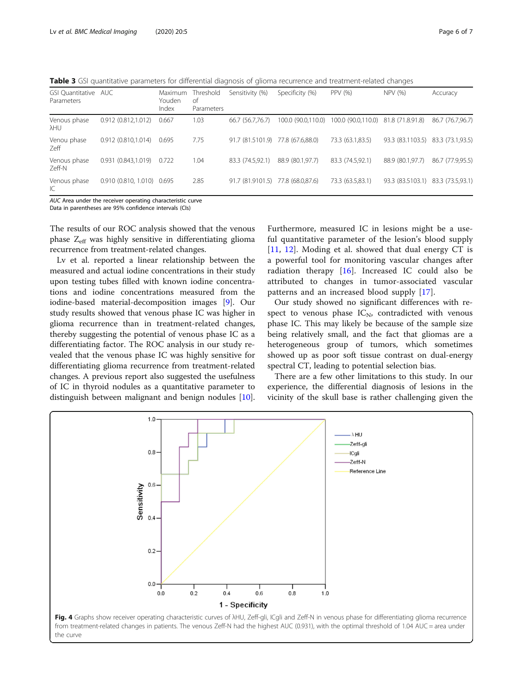<span id="page-5-0"></span>Table 3 GSI quantitative parameters for differential diagnosis of glioma recurrence and treatment-related changes

| GSI Quantitative AUC<br>Parameters |                            | Maximum<br>Youden<br>Index | Threshold<br>of<br>Parameters | Sensitivity (%)                   | Specificity (%)    | PPV (%)                             | NPV (%)                           | Accuracy         |
|------------------------------------|----------------------------|----------------------------|-------------------------------|-----------------------------------|--------------------|-------------------------------------|-----------------------------------|------------------|
| Venous phase<br>λHU                | 0.912 (0.812,1.012)        | 0.667                      | 1.03                          | 66.7 (56.7,76.7)                  | 100.0 (90.0,110.0) | 100.0 (90.0,110.0) 81.8 (71.8.91.8) |                                   | 86.7 (76.7,96.7) |
| Venou phase<br>Zeff                | 0.912 (0.810,1.014)        | 0.695                      | 7.75                          | 91.7 (81.5101.9) 77.8 (67.6,88.0) |                    | 73.3 (63.1,83.5)                    | 93.3 (83.1103.5) 83.3 (73.1,93.5) |                  |
| Venous phase<br>Zeff-N             | 0.931(0.843,1.019)         | 0.722                      | 1.04                          | 83.3 (74.5.92.1)                  | 88.9 (80.1,97.7)   | 83.3 (74.5,92.1)                    | 88.9 (80.1,97.7)                  | 86.7 (77.9,95.5) |
| Venous phase<br>IC                 | 0.910 (0.810, 1.010) 0.695 |                            | 2.85                          | 91.7 (81.9101.5) 77.8 (68.0,87.6) |                    | 73.3 (63.5,83.1)                    | 93.3 (83.5103.1) 83.3 (73.5,93.1) |                  |

AUC Area under the receiver operating characteristic curve

Data in parentheses are 95% confidence intervals (CIs)

The results of our ROC analysis showed that the venous phase Z<sub>eff</sub> was highly sensitive in differentiating glioma recurrence from treatment-related changes.

Lv et al. reported a linear relationship between the measured and actual iodine concentrations in their study upon testing tubes filled with known iodine concentrations and iodine concentrations measured from the iodine-based material-decomposition images [[9\]](#page-6-0). Our study results showed that venous phase IC was higher in glioma recurrence than in treatment-related changes, thereby suggesting the potential of venous phase IC as a differentiating factor. The ROC analysis in our study revealed that the venous phase IC was highly sensitive for differentiating glioma recurrence from treatment-related changes. A previous report also suggested the usefulness of IC in thyroid nodules as a quantitative parameter to distinguish between malignant and benign nodules [\[10](#page-6-0)].

Furthermore, measured IC in lesions might be a useful quantitative parameter of the lesion's blood supply [[11,](#page-6-0) [12](#page-6-0)]. Moding et al. showed that dual energy CT is a powerful tool for monitoring vascular changes after radiation therapy  $[16]$  $[16]$ . Increased IC could also be attributed to changes in tumor-associated vascular patterns and an increased blood supply [\[17](#page-6-0)].

Our study showed no significant differences with respect to venous phase  $IC_N$ , contradicted with venous phase IC. This may likely be because of the sample size being relatively small, and the fact that gliomas are a heterogeneous group of tumors, which sometimes showed up as poor soft tissue contrast on dual-energy spectral CT, leading to potential selection bias.

There are a few other limitations to this study. In our experience, the differential diagnosis of lesions in the vicinity of the skull base is rather challenging given the